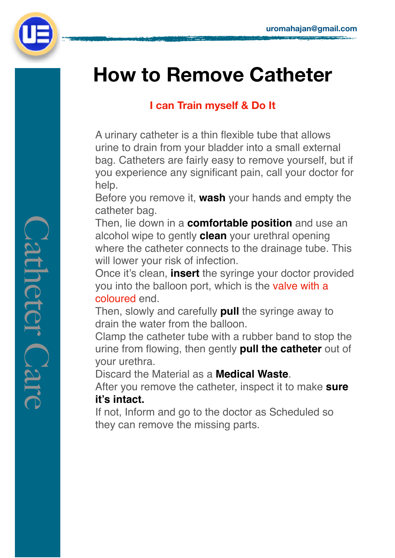

# **How to Remove Catheter**

## **I can Train myself & Do It**

A urinary catheter is a thin flexible tube that allows urine to drain from your bladder into a small external bag. Catheters are fairly easy to remove yourself, but if you experience any significant pain, call your doctor for help.

Before you remove it, **wash** your hands and empty the catheter bag.

Then, lie down in a **comfortable position** and use an alcohol wipe to gently **clean** your urethral opening where the catheter connects to the drainage tube. This will lower your risk of infection.

Once it's clean, **insert** the syringe your doctor provided you into the balloon port, which is the valve with a coloured end.

Then, slowly and carefully **pull** the syringe away to drain the water from the balloon.

Clamp the catheter tube with a rubber band to stop the urine from flowing, then gently **pull the catheter** out of your urethra.

Discard the Material as a **Medical Waste**.

After you remove the catheter, inspect it to make **sure it's intact.**

If not, Inform and go to the doctor as Scheduled so they can remove the missing parts.